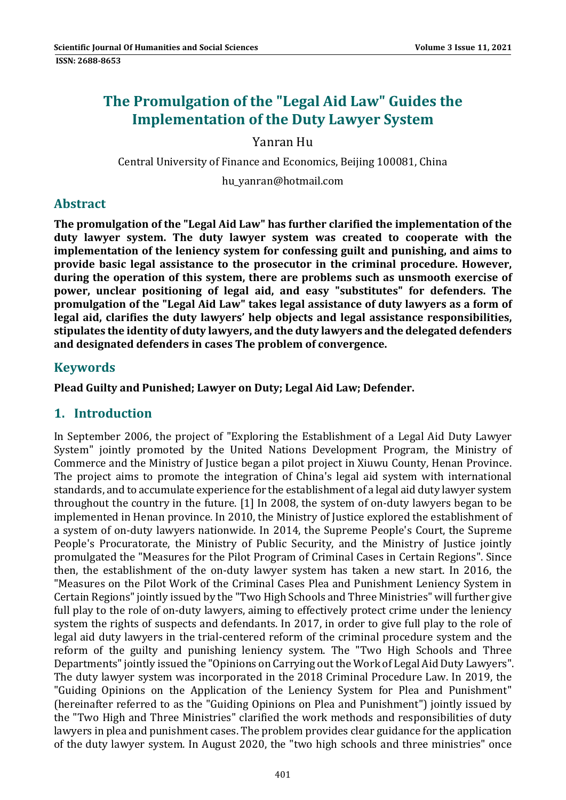# **The Promulgation of the "Legal Aid Law" Guides the Implementation of the Duty Lawyer System**

## Yanran Hu

Central University of Finance and Economics, Beijing 100081, China

hu\_yanran@hotmail.com 

## **Abstract**

**The promulgation of the "Legal Aid Law" has further clarified the implementation of the duty lawyer system. The duty lawyer system was created to cooperate with the implementation of the leniency system for confessing guilt and punishing, and aims to provide basic legal assistance to the prosecutor in the criminal procedure. However, during the operation of this system, there are problems such as unsmooth exercise of power, unclear positioning of legal aid, and easy "substitutes" for defenders. The promulgation of the "Legal Aid Law" takes legal assistance of duty lawyers as a form of legal aid, clarifies the duty lawyers' help objects and legal assistance responsibilities, stipulates the identity of duty lawyers, and the duty lawyers and the delegated defenders and designated defenders in cases The problem of convergence.**

## **Keywords**

**Plead Guilty and Punished; Lawyer on Duty; Legal Aid Law; Defender.**

## **1. Introduction**

In September 2006, the project of "Exploring the Establishment of a Legal Aid Duty Lawyer System" jointly promoted by the United Nations Development Program, the Ministry of Commerce and the Ministry of Justice began a pilot project in Xiuwu County, Henan Province. The project aims to promote the integration of China's legal aid system with international standards, and to accumulate experience for the establishment of a legal aid duty lawyer system throughout the country in the future.  $[1]$  In 2008, the system of on-duty lawyers began to be implemented in Henan province. In 2010, the Ministry of Justice explored the establishment of a system of on-duty lawyers nationwide. In 2014, the Supreme People's Court, the Supreme People's Procuratorate, the Ministry of Public Security, and the Ministry of Justice jointly promulgated the "Measures for the Pilot Program of Criminal Cases in Certain Regions". Since then, the establishment of the on-duty lawyer system has taken a new start. In 2016, the "Measures on the Pilot Work of the Criminal Cases Plea and Punishment Leniency System in Certain Regions" jointly issued by the "Two High Schools and Three Ministries" will further give full play to the role of on-duty lawyers, aiming to effectively protect crime under the leniency system the rights of suspects and defendants. In 2017, in order to give full play to the role of legal aid duty lawyers in the trial-centered reform of the criminal procedure system and the reform of the guilty and punishing leniency system. The "Two High Schools and Three Departments" jointly issued the "Opinions on Carrying out the Work of Legal Aid Duty Lawyers". The duty lawyer system was incorporated in the 2018 Criminal Procedure Law. In 2019, the "Guiding Opinions on the Application of the Leniency System for Plea and Punishment" (hereinafter referred to as the "Guiding Opinions on Plea and Punishment") jointly issued by the "Two High and Three Ministries" clarified the work methods and responsibilities of duty lawyers in plea and punishment cases. The problem provides clear guidance for the application of the duty lawyer system. In August 2020, the "two high schools and three ministries" once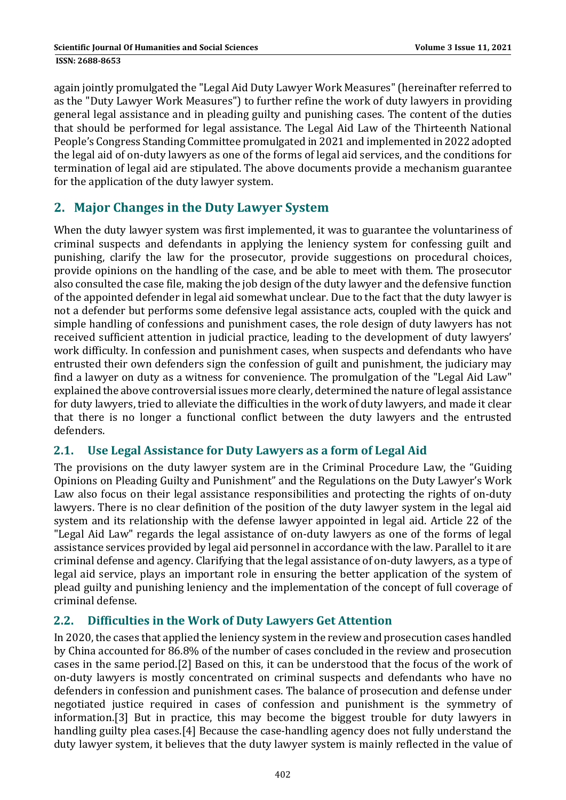again jointly promulgated the "Legal Aid Duty Lawyer Work Measures" (hereinafter referred to as the "Duty Lawyer Work Measures") to further refine the work of duty lawyers in providing general legal assistance and in pleading guilty and punishing cases. The content of the duties that should be performed for legal assistance. The Legal Aid Law of the Thirteenth National People's Congress Standing Committee promulgated in 2021 and implemented in 2022 adopted the legal aid of on-duty lawyers as one of the forms of legal aid services, and the conditions for termination of legal aid are stipulated. The above documents provide a mechanism guarantee for the application of the duty lawyer system.

## **2. Major Changes in the Duty Lawyer System**

When the duty lawyer system was first implemented, it was to guarantee the voluntariness of criminal suspects and defendants in applying the leniency system for confessing guilt and punishing, clarify the law for the prosecutor, provide suggestions on procedural choices, provide opinions on the handling of the case, and be able to meet with them. The prosecutor also consulted the case file, making the job design of the duty lawyer and the defensive function of the appointed defender in legal aid somewhat unclear. Due to the fact that the duty lawyer is not a defender but performs some defensive legal assistance acts, coupled with the quick and simple handling of confessions and punishment cases, the role design of duty lawyers has not received sufficient attention in judicial practice, leading to the development of duty lawyers' work difficulty. In confession and punishment cases, when suspects and defendants who have entrusted their own defenders sign the confession of guilt and punishment, the judiciary may find a lawyer on duty as a witness for convenience. The promulgation of the "Legal Aid Law" explained the above controversial issues more clearly, determined the nature of legal assistance for duty lawyers, tried to alleviate the difficulties in the work of duty lawyers, and made it clear that there is no longer a functional conflict between the duty lawyers and the entrusted defenders. 

#### **2.1. Use Legal Assistance for Duty Lawyers as a form of Legal Aid**

The provisions on the duty lawyer system are in the Criminal Procedure Law, the "Guiding Opinions on Pleading Guilty and Punishment" and the Regulations on the Duty Lawyer's Work Law also focus on their legal assistance responsibilities and protecting the rights of on-duty lawyers. There is no clear definition of the position of the duty lawyer system in the legal aid system and its relationship with the defense lawyer appointed in legal aid. Article 22 of the "Legal Aid Law" regards the legal assistance of on-duty lawyers as one of the forms of legal assistance services provided by legal aid personnel in accordance with the law. Parallel to it are criminal defense and agency. Clarifying that the legal assistance of on-duty lawyers, as a type of legal aid service, plays an important role in ensuring the better application of the system of plead guilty and punishing leniency and the implementation of the concept of full coverage of criminal defense. 

## **2.2. Difficulties in the Work of Duty Lawyers Get Attention**

In 2020, the cases that applied the leniency system in the review and prosecution cases handled by China accounted for 86.8% of the number of cases concluded in the review and prosecution cases in the same period.[2] Based on this, it can be understood that the focus of the work of on-duty lawyers is mostly concentrated on criminal suspects and defendants who have no defenders in confession and punishment cases. The balance of prosecution and defense under negotiated justice required in cases of confession and punishment is the symmetry of information.[3] But in practice, this may become the biggest trouble for duty lawyers in handling guilty plea cases.[4] Because the case-handling agency does not fully understand the duty lawyer system, it believes that the duty lawyer system is mainly reflected in the value of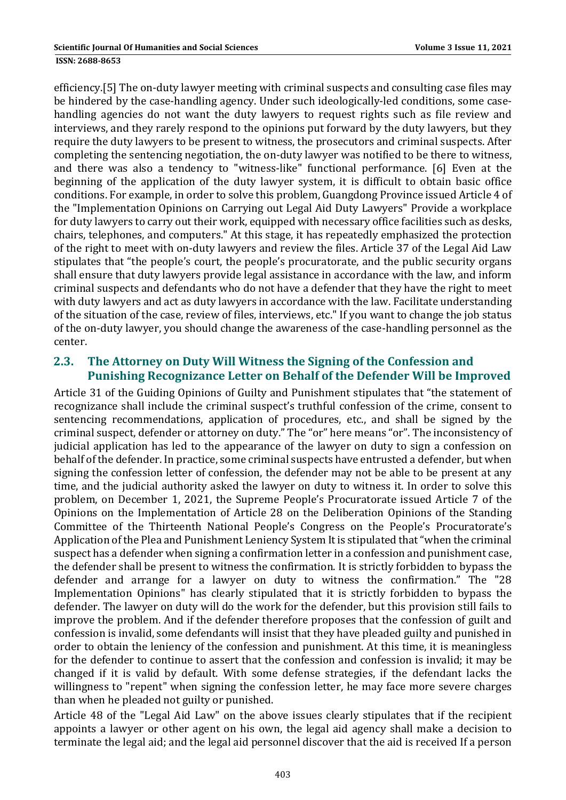efficiency.[5] The on-duty lawyer meeting with criminal suspects and consulting case files may be hindered by the case-handling agency. Under such ideologically-led conditions, some casehandling agencies do not want the duty lawyers to request rights such as file review and interviews, and they rarely respond to the opinions put forward by the duty lawyers, but they require the duty lawyers to be present to witness, the prosecutors and criminal suspects. After completing the sentencing negotiation, the on-duty lawyer was notified to be there to witness, and there was also a tendency to "witness-like" functional performance. [6] Even at the beginning of the application of the duty lawyer system, it is difficult to obtain basic office conditions. For example, in order to solve this problem, Guangdong Province issued Article 4 of the "Implementation Opinions on Carrying out Legal Aid Duty Lawyers" Provide a workplace for duty lawyers to carry out their work, equipped with necessary office facilities such as desks, chairs, telephones, and computers." At this stage, it has repeatedly emphasized the protection of the right to meet with on-duty lawyers and review the files. Article 37 of the Legal Aid Law stipulates that "the people's court, the people's procuratorate, and the public security organs shall ensure that duty lawyers provide legal assistance in accordance with the law, and inform criminal suspects and defendants who do not have a defender that they have the right to meet with duty lawyers and act as duty lawyers in accordance with the law. Facilitate understanding of the situation of the case, review of files, interviews, etc." If you want to change the job status of the on-duty lawyer, you should change the awareness of the case-handling personnel as the center. 

#### **2.3. The Attorney on Duty Will Witness the Signing of the Confession and Punishing Recognizance Letter on Behalf of the Defender Will be Improved**

Article 31 of the Guiding Opinions of Guilty and Punishment stipulates that "the statement of recognizance shall include the criminal suspect's truthful confession of the crime, consent to sentencing recommendations, application of procedures, etc., and shall be signed by the criminal suspect, defender or attorney on duty." The "or" here means "or". The inconsistency of judicial application has led to the appearance of the lawyer on duty to sign a confession on behalf of the defender. In practice, some criminal suspects have entrusted a defender, but when signing the confession letter of confession, the defender may not be able to be present at any time, and the judicial authority asked the lawyer on duty to witness it. In order to solve this problem, on December 1, 2021, the Supreme People's Procuratorate issued Article 7 of the Opinions on the Implementation of Article 28 on the Deliberation Opinions of the Standing Committee of the Thirteenth National People's Congress on the People's Procuratorate's Application of the Plea and Punishment Leniency System It is stipulated that "when the criminal suspect has a defender when signing a confirmation letter in a confession and punishment case, the defender shall be present to witness the confirmation. It is strictly forbidden to bypass the defender and arrange for a lawyer on duty to witness the confirmation." The "28 Implementation Opinions" has clearly stipulated that it is strictly forbidden to bypass the defender. The lawyer on duty will do the work for the defender, but this provision still fails to improve the problem. And if the defender therefore proposes that the confession of guilt and confession is invalid, some defendants will insist that they have pleaded guilty and punished in order to obtain the leniency of the confession and punishment. At this time, it is meaningless for the defender to continue to assert that the confession and confession is invalid; it may be changed if it is valid by default. With some defense strategies, if the defendant lacks the willingness to "repent" when signing the confession letter, he may face more severe charges than when he pleaded not guilty or punished.

Article 48 of the "Legal Aid Law" on the above issues clearly stipulates that if the recipient appoints a lawyer or other agent on his own, the legal aid agency shall make a decision to terminate the legal aid; and the legal aid personnel discover that the aid is received If a person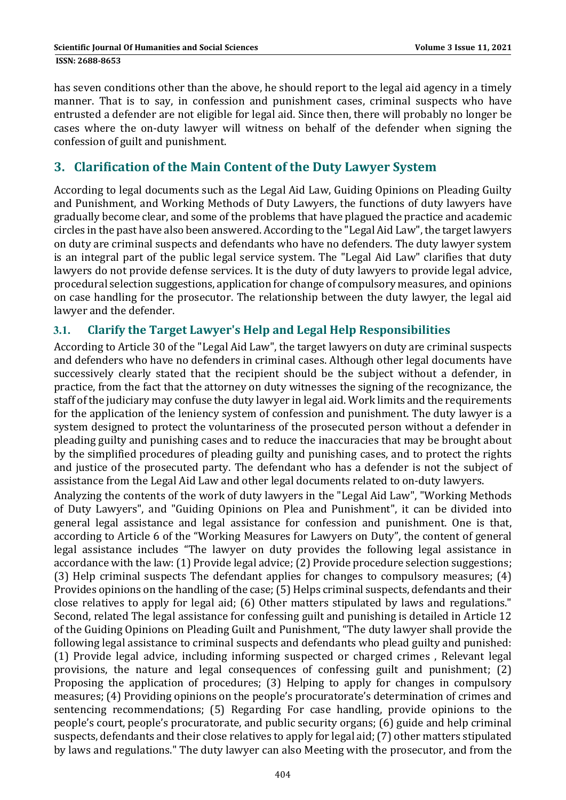has seven conditions other than the above, he should report to the legal aid agency in a timely manner. That is to say, in confession and punishment cases, criminal suspects who have entrusted a defender are not eligible for legal aid. Since then, there will probably no longer be cases where the on-duty lawyer will witness on behalf of the defender when signing the confession of guilt and punishment.

## **3. Clarification of the Main Content of the Duty Lawyer System**

According to legal documents such as the Legal Aid Law, Guiding Opinions on Pleading Guilty and Punishment, and Working Methods of Duty Lawyers, the functions of duty lawyers have gradually become clear, and some of the problems that have plagued the practice and academic circles in the past have also been answered. According to the "Legal Aid Law", the target lawyers on duty are criminal suspects and defendants who have no defenders. The duty lawyer system is an integral part of the public legal service system. The "Legal Aid Law" clarifies that duty lawyers do not provide defense services. It is the duty of duty lawyers to provide legal advice, procedural selection suggestions, application for change of compulsory measures, and opinions on case handling for the prosecutor. The relationship between the duty lawyer, the legal aid lawyer and the defender.

#### **3.1. Clarify the Target Lawyer's Help and Legal Help Responsibilities**

According to Article 30 of the "Legal Aid Law", the target lawyers on duty are criminal suspects and defenders who have no defenders in criminal cases. Although other legal documents have successively clearly stated that the recipient should be the subject without a defender, in practice, from the fact that the attorney on duty witnesses the signing of the recognizance, the staff of the judiciary may confuse the duty lawyer in legal aid. Work limits and the requirements for the application of the leniency system of confession and punishment. The duty lawyer is a system designed to protect the voluntariness of the prosecuted person without a defender in pleading guilty and punishing cases and to reduce the inaccuracies that may be brought about by the simplified procedures of pleading guilty and punishing cases, and to protect the rights and justice of the prosecuted party. The defendant who has a defender is not the subject of assistance from the Legal Aid Law and other legal documents related to on-duty lawyers.

Analyzing the contents of the work of duty lawyers in the "Legal Aid Law", "Working Methods of Duty Lawyers", and "Guiding Opinions on Plea and Punishment", it can be divided into general legal assistance and legal assistance for confession and punishment. One is that, according to Article 6 of the "Working Measures for Lawyers on Duty", the content of general legal assistance includes "The lawyer on duty provides the following legal assistance in accordance with the law: (1) Provide legal advice; (2) Provide procedure selection suggestions; (3) Help criminal suspects The defendant applies for changes to compulsory measures;  $(4)$ Provides opinions on the handling of the case; (5) Helps criminal suspects, defendants and their close relatives to apply for legal aid; (6) Other matters stipulated by laws and regulations." Second, related The legal assistance for confessing guilt and punishing is detailed in Article 12 of the Guiding Opinions on Pleading Guilt and Punishment, "The duty lawyer shall provide the following legal assistance to criminal suspects and defendants who plead guilty and punished: (1) Provide legal advice, including informing suspected or charged crimes, Relevant legal provisions, the nature and legal consequences of confessing guilt and punishment; (2) Proposing the application of procedures; (3) Helping to apply for changes in compulsory measures; (4) Providing opinions on the people's procuratorate's determination of crimes and sentencing recommendations; (5) Regarding For case handling, provide opinions to the people's court, people's procuratorate, and public security organs; (6) guide and help criminal suspects, defendants and their close relatives to apply for legal aid; (7) other matters stipulated by laws and regulations." The duty lawyer can also Meeting with the prosecutor, and from the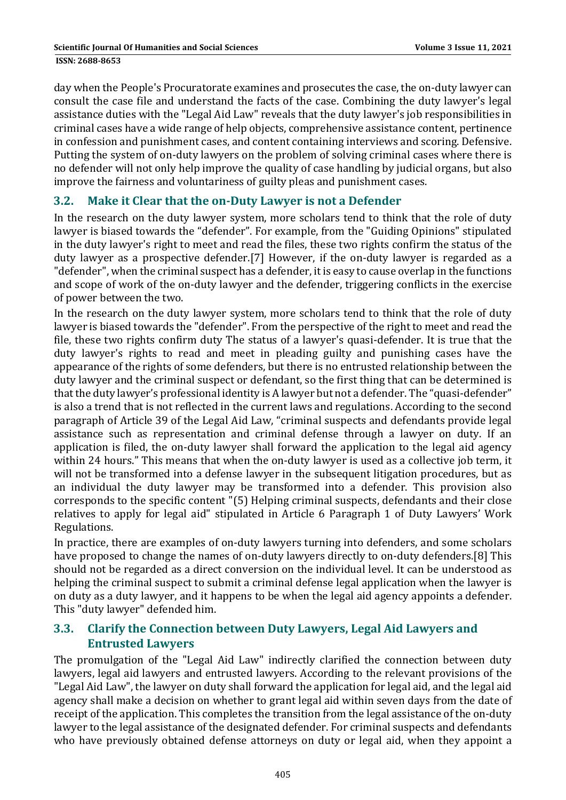day when the People's Procuratorate examines and prosecutes the case, the on-duty lawyer can consult the case file and understand the facts of the case. Combining the duty lawyer's legal assistance duties with the "Legal Aid Law" reveals that the duty lawyer's job responsibilities in criminal cases have a wide range of help objects, comprehensive assistance content, pertinence in confession and punishment cases, and content containing interviews and scoring. Defensive. Putting the system of on-duty lawyers on the problem of solving criminal cases where there is no defender will not only help improve the quality of case handling by judicial organs, but also improve the fairness and voluntariness of guilty pleas and punishment cases.

#### **3.2. Make it Clear that the on‐Duty Lawyer is not a Defender**

In the research on the duty lawyer system, more scholars tend to think that the role of duty lawyer is biased towards the "defender". For example, from the "Guiding Opinions" stipulated in the duty lawyer's right to meet and read the files, these two rights confirm the status of the duty lawyer as a prospective defender.[7] However, if the on-duty lawyer is regarded as a "defender", when the criminal suspect has a defender, it is easy to cause overlap in the functions and scope of work of the on-duty lawyer and the defender, triggering conflicts in the exercise of power between the two.

In the research on the duty lawyer system, more scholars tend to think that the role of duty lawyer is biased towards the "defender". From the perspective of the right to meet and read the file, these two rights confirm duty The status of a lawyer's quasi-defender. It is true that the duty lawyer's rights to read and meet in pleading guilty and punishing cases have the appearance of the rights of some defenders, but there is no entrusted relationship between the duty lawyer and the criminal suspect or defendant, so the first thing that can be determined is that the duty lawyer's professional identity is A lawyer but not a defender. The "quasi-defender" is also a trend that is not reflected in the current laws and regulations. According to the second paragraph of Article 39 of the Legal Aid Law, "criminal suspects and defendants provide legal assistance such as representation and criminal defense through a lawyer on duty. If an application is filed, the on-duty lawyer shall forward the application to the legal aid agency within 24 hours." This means that when the on-duty lawyer is used as a collective job term, it will not be transformed into a defense lawyer in the subsequent litigation procedures, but as an individual the duty lawyer may be transformed into a defender. This provision also corresponds to the specific content "(5) Helping criminal suspects, defendants and their close relatives to apply for legal aid" stipulated in Article 6 Paragraph 1 of Duty Lawyers' Work Regulations. 

In practice, there are examples of on-duty lawyers turning into defenders, and some scholars have proposed to change the names of on-duty lawyers directly to on-duty defenders.[8] This should not be regarded as a direct conversion on the individual level. It can be understood as helping the criminal suspect to submit a criminal defense legal application when the lawyer is on duty as a duty lawyer, and it happens to be when the legal aid agency appoints a defender. This "duty lawyer" defended him.

#### **3.3. Clarify the Connection between Duty Lawyers, Legal Aid Lawyers and Entrusted Lawyers**

The promulgation of the "Legal Aid Law" indirectly clarified the connection between duty lawyers, legal aid lawyers and entrusted lawyers. According to the relevant provisions of the "Legal Aid Law", the lawyer on duty shall forward the application for legal aid, and the legal aid agency shall make a decision on whether to grant legal aid within seven days from the date of receipt of the application. This completes the transition from the legal assistance of the on-duty lawyer to the legal assistance of the designated defender. For criminal suspects and defendants who have previously obtained defense attorneys on duty or legal aid, when they appoint a